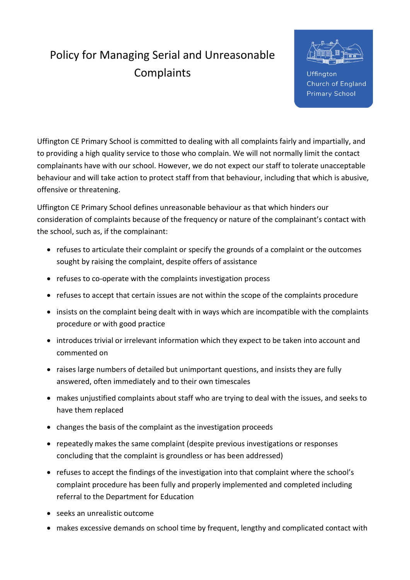## Policy for Managing Serial and Unreasonable Complaints



**Uffinaton** Church of England **Primary School** 

Uffington CE Primary School is committed to dealing with all complaints fairly and impartially, and to providing a high quality service to those who complain. We will not normally limit the contact complainants have with our school. However, we do not expect our staff to tolerate unacceptable behaviour and will take action to protect staff from that behaviour, including that which is abusive, offensive or threatening.

Uffington CE Primary School defines unreasonable behaviour as that which hinders our consideration of complaints because of the frequency or nature of the complainant's contact with the school, such as, if the complainant:

- refuses to articulate their complaint or specify the grounds of a complaint or the outcomes sought by raising the complaint, despite offers of assistance
- refuses to co-operate with the complaints investigation process
- refuses to accept that certain issues are not within the scope of the complaints procedure
- insists on the complaint being dealt with in ways which are incompatible with the complaints procedure or with good practice
- introduces trivial or irrelevant information which they expect to be taken into account and commented on
- raises large numbers of detailed but unimportant questions, and insists they are fully answered, often immediately and to their own timescales
- makes unjustified complaints about staff who are trying to deal with the issues, and seeks to have them replaced
- changes the basis of the complaint as the investigation proceeds
- repeatedly makes the same complaint (despite previous investigations or responses concluding that the complaint is groundless or has been addressed)
- refuses to accept the findings of the investigation into that complaint where the school's complaint procedure has been fully and properly implemented and completed including referral to the Department for Education
- seeks an unrealistic outcome
- makes excessive demands on school time by frequent, lengthy and complicated contact with